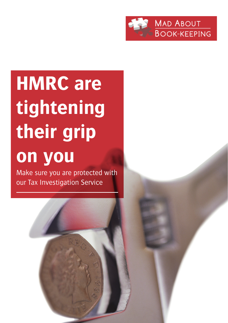

# **HMRC are tightening their grip on you**

Make sure you are protected with our Tax Investigation Service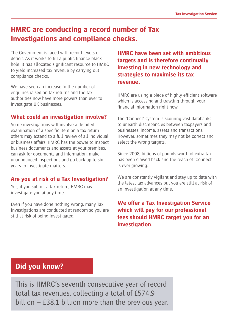### **HMRC are conducting a record number of Tax Investigations and compliance checks.**

The Government is faced with record levels of deficit. As it works to fill a public finance black hole, it has allocated significant resource to HMRC to yield increased tax revenue by carrying out compliance checks.

We have seen an increase in the number of enquiries raised on tax returns and the tax authorities now have more powers than ever to investigate UK businesses.

### **What could an investigation involve?**

Some investigations will involve a detailed examination of a specific item on a tax return others may extend to a full review of all individual or business affairs. HMRC has the power to inspect business documents and assets at your premises, can ask for documents and information, make unannounced inspections and go back up to six years to investigate matters.

### **Are you at risk of a Tax Investigation?**

Yes, if you submit a tax return, HMRC may investigate you at any time.

Even if you have done nothing wrong, many Tax Investigations are conducted at random so you are still at risk of being investigated.

**HMRC have been set with ambitious targets and is therefore continually investing in new technology and strategies to maximise its tax revenue.**

HMRC are using a piece of highly efficient software which is accessing and trawling through your financial information right now.

The 'Connect' system is scouring vast databanks to unearth discrepancies between taxpayers and businesses, income, assets and transactions. However, sometimes they may not be correct and select the wrong targets.

Since 2008, billions of pounds worth of extra tax has been clawed back and the reach of 'Connect' is ever growing.

We are constantly vigilant and stay up to date with the latest tax advances but you are still at risk of an investigation at any time.

**We offer a Tax Investigation Service which will pay for our professional fees should HMRC target you for an investigation.**

### **Did you know?**

This is HMRC's seventh consecutive year of record total tax revenues, collecting a total of £574.9 billion – £38.1 billion more than the previous year.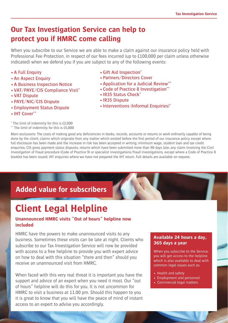## **Our Tax Investigation Service can help to protect you if HMRC come calling**

When you subscribe to our Service we are able to make a claim against our insurance policy held with Professional Fee Protection, in respect of our fees incurred (up to £100,000 per claim unless otherwise indicated) when we defend you if you are subject to any of the following events:

- •A Full Enquiry
- •An Aspect Enquiry
- •A Business Inspection Notice
- •VAT/PAYE/CIS Compliance Visit\*
- •VAT Dispute
- •PAYE/NIC/CIS Dispute
- •Employment Status Dispute
- •IHT Cover\*\*

\* The limit of indemnity for this is £2,000 \*\* The limit of indemnity for this is £5,000

- •Gift Aid Inspection\*
- •Partners/Directors Cover
- •Application for a Judicial Review\*\*
- •Code of Practice 8 Investigation\*\*
- •IR35 Status Check\*
- •IR35 Dispute
- Interventions (Informal Enquiries)\*

Main exclusions: The costs of making good any deficiencies in books, records, accounts or returns or work ordinarily capable of being done by the client; claims which originate from any matter which existed before the first period of our insurance policy except where full disclosure has been made and the increase in risk has been accepted in writing; minimum wage, student loan and tax credit enquiries; CIS gross payment status disputes; returns which have been submitted more than 90 days late; any claim involving the Civil Investigation of Fraud procedure (Code of Practice 9) or specialist investigations/fraud investigations, except where a Code of Practice 8 booklet has been issued; IHT enquiries where we have not prepared the IHT return. Full details are available on request.

# **Added value for subscribers**

# **Client Legal Helpline**

#### **Unannounced HMRC visits "Out of hours" helpline now included**

HMRC have the powers to make unannounced visits to any business. Sometimes these visits can be late at night. Clients who subscribe to our Tax Investigation Service will now be provided with access to a free helpline to provide you with expert advice on how to deal with this situation "there and then" should you receive an unannounced visit from HMRC.

When faced with this very real threat it is important you have the support and advice of an expert when you need it most. Our "out of hours" helpline will do this for you. It is not uncommon for HMRC to visit a business at 11.00 pm. Should this happen to you it is great to know that you will have the peace of mind of instant access to an expert to advise you accordingly.

#### **Available 24 hours a day, 365 days a year**

When you subscribe to the Service, you will get access to the helpline which is also available to deal with common legal issues such as:

- Health and safety
- Employment and personnel
- Commercial legal matters